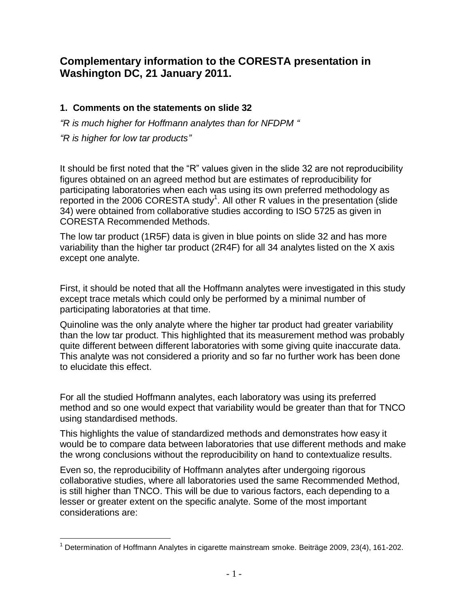## **Complementary information to the CORESTA presentation in Washington DC, 21 January 2011.**

#### **1. Comments on the statements on slide 32**

*"R is much higher for Hoffmann analytes than for NFDPM "*

*"R is higher for low tar products"*

It should be first noted that the "R" values given in the slide 32 are not reproducibility figures obtained on an agreed method but are estimates of reproducibility for participating laboratories when each was using its own preferred methodology as reported in the 2006 CORESTA study<sup>1</sup>. All other R values in the presentation (slide 34) were obtained from collaborative studies according to ISO 5725 as given in CORESTA Recommended Methods.

The low tar product (1R5F) data is given in blue points on slide 32 and has more variability than the higher tar product (2R4F) for all 34 analytes listed on the X axis except one analyte.

First, it should be noted that all the Hoffmann analytes were investigated in this study except trace metals which could only be performed by a minimal number of participating laboratories at that time.

Quinoline was the only analyte where the higher tar product had greater variability than the low tar product. This highlighted that its measurement method was probably quite different between different laboratories with some giving quite inaccurate data. This analyte was not considered a priority and so far no further work has been done to elucidate this effect.

For all the studied Hoffmann analytes, each laboratory was using its preferred method and so one would expect that variability would be greater than that for TNCO using standardised methods.

This highlights the value of standardized methods and demonstrates how easy it would be to compare data between laboratories that use different methods and make the wrong conclusions without the reproducibility on hand to contextualize results.

Even so, the reproducibility of Hoffmann analytes after undergoing rigorous collaborative studies, where all laboratories used the same Recommended Method, is still higher than TNCO. This will be due to various factors, each depending to a lesser or greater extent on the specific analyte. Some of the most important considerations are:

 $1$  Determination of Hoffmann Analytes in cigarette mainstream smoke. Beiträge 2009, 23(4), 161-202.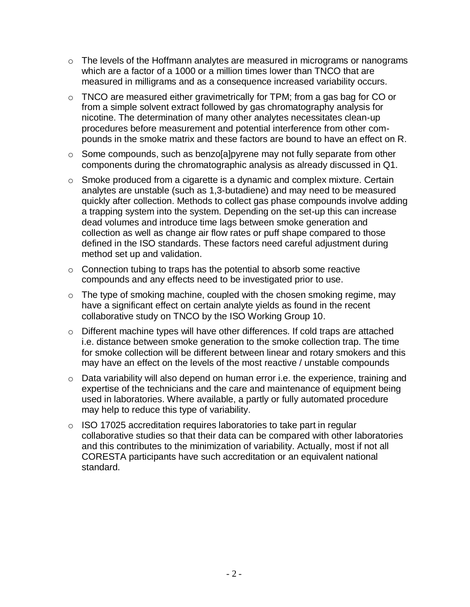- o The levels of the Hoffmann analytes are measured in micrograms or nanograms which are a factor of a 1000 or a million times lower than TNCO that are measured in milligrams and as a consequence increased variability occurs.
- o TNCO are measured either gravimetrically for TPM; from a gas bag for CO or from a simple solvent extract followed by gas chromatography analysis for nicotine. The determination of many other analytes necessitates clean-up procedures before measurement and potential interference from other compounds in the smoke matrix and these factors are bound to have an effect on R.
- o Some compounds, such as benzo[a]pyrene may not fully separate from other components during the chromatographic analysis as already discussed in Q1.
- o Smoke produced from a cigarette is a dynamic and complex mixture. Certain analytes are unstable (such as 1,3-butadiene) and may need to be measured quickly after collection. Methods to collect gas phase compounds involve adding a trapping system into the system. Depending on the set-up this can increase dead volumes and introduce time lags between smoke generation and collection as well as change air flow rates or puff shape compared to those defined in the ISO standards. These factors need careful adjustment during method set up and validation.
- o Connection tubing to traps has the potential to absorb some reactive compounds and any effects need to be investigated prior to use.
- o The type of smoking machine, coupled with the chosen smoking regime, may have a significant effect on certain analyte yields as found in the recent collaborative study on TNCO by the ISO Working Group 10.
- o Different machine types will have other differences. If cold traps are attached i.e. distance between smoke generation to the smoke collection trap. The time for smoke collection will be different between linear and rotary smokers and this may have an effect on the levels of the most reactive / unstable compounds
- o Data variability will also depend on human error i.e. the experience, training and expertise of the technicians and the care and maintenance of equipment being used in laboratories. Where available, a partly or fully automated procedure may help to reduce this type of variability.
- o ISO 17025 accreditation requires laboratories to take part in regular collaborative studies so that their data can be compared with other laboratories and this contributes to the minimization of variability. Actually, most if not all CORESTA participants have such accreditation or an equivalent national standard.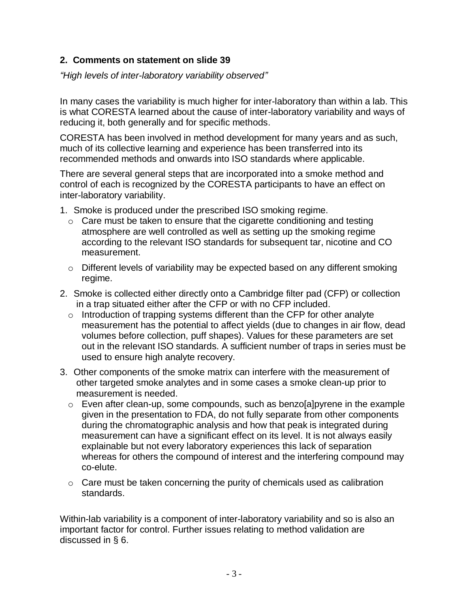#### **2. Comments on statement on slide 39**

*"High levels of inter-laboratory variability observed"*

In many cases the variability is much higher for inter-laboratory than within a lab. This is what CORESTA learned about the cause of inter-laboratory variability and ways of reducing it, both generally and for specific methods.

CORESTA has been involved in method development for many years and as such, much of its collective learning and experience has been transferred into its recommended methods and onwards into ISO standards where applicable.

There are several general steps that are incorporated into a smoke method and control of each is recognized by the CORESTA participants to have an effect on inter-laboratory variability.

- 1. Smoke is produced under the prescribed ISO smoking regime.
	- o Care must be taken to ensure that the cigarette conditioning and testing atmosphere are well controlled as well as setting up the smoking regime according to the relevant ISO standards for subsequent tar, nicotine and CO measurement.
	- o Different levels of variability may be expected based on any different smoking regime.
- 2. Smoke is collected either directly onto a Cambridge filter pad (CFP) or collection in a trap situated either after the CFP or with no CFP included.
	- $\circ$  Introduction of trapping systems different than the CFP for other analyte measurement has the potential to affect yields (due to changes in air flow, dead volumes before collection, puff shapes). Values for these parameters are set out in the relevant ISO standards. A sufficient number of traps in series must be used to ensure high analyte recovery.
- 3. Other components of the smoke matrix can interfere with the measurement of other targeted smoke analytes and in some cases a smoke clean-up prior to measurement is needed.
	- o Even after clean-up, some compounds, such as benzo[a]pyrene in the example given in the presentation to FDA, do not fully separate from other components during the chromatographic analysis and how that peak is integrated during measurement can have a significant effect on its level. It is not always easily explainable but not every laboratory experiences this lack of separation whereas for others the compound of interest and the interfering compound may co-elute.
	- o Care must be taken concerning the purity of chemicals used as calibration standards.

Within-lab variability is a component of inter-laboratory variability and so is also an important factor for control. Further issues relating to method validation are discussed in § 6.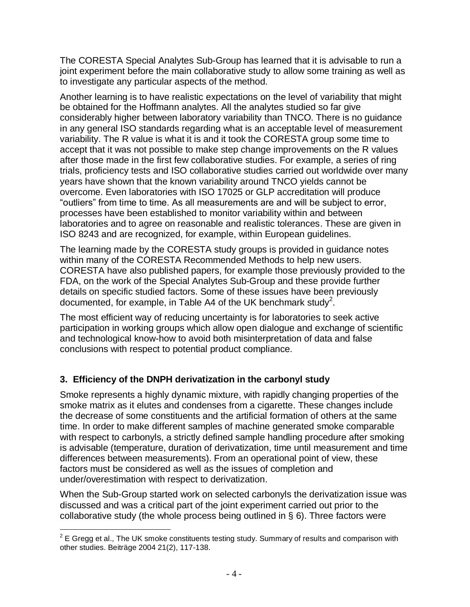The CORESTA Special Analytes Sub-Group has learned that it is advisable to run a joint experiment before the main collaborative study to allow some training as well as to investigate any particular aspects of the method.

Another learning is to have realistic expectations on the level of variability that might be obtained for the Hoffmann analytes. All the analytes studied so far give considerably higher between laboratory variability than TNCO. There is no guidance in any general ISO standards regarding what is an acceptable level of measurement variability. The R value is what it is and it took the CORESTA group some time to accept that it was not possible to make step change improvements on the R values after those made in the first few collaborative studies. For example, a series of ring trials, proficiency tests and ISO collaborative studies carried out worldwide over many years have shown that the known variability around TNCO yields cannot be overcome. Even laboratories with ISO 17025 or GLP accreditation will produce "outliers" from time to time. As all measurements are and will be subject to error, processes have been established to monitor variability within and between laboratories and to agree on reasonable and realistic tolerances. These are given in ISO 8243 and are recognized, for example, within European guidelines.

The learning made by the CORESTA study groups is provided in guidance notes within many of the CORESTA Recommended Methods to help new users. CORESTA have also published papers, for example those previously provided to the FDA, on the work of the Special Analytes Sub-Group and these provide further details on specific studied factors. Some of these issues have been previously documented, for example, in Table A4 of the UK benchmark study<sup>2</sup>.

The most efficient way of reducing uncertainty is for laboratories to seek active participation in working groups which allow open dialogue and exchange of scientific and technological know-how to avoid both misinterpretation of data and false conclusions with respect to potential product compliance.

## **3. Efficiency of the DNPH derivatization in the carbonyl study**

Smoke represents a highly dynamic mixture, with rapidly changing properties of the smoke matrix as it elutes and condenses from a cigarette. These changes include the decrease of some constituents and the artificial formation of others at the same time. In order to make different samples of machine generated smoke comparable with respect to carbonyls, a strictly defined sample handling procedure after smoking is advisable (temperature, duration of derivatization, time until measurement and time differences between measurements). From an operational point of view, these factors must be considered as well as the issues of completion and under/overestimation with respect to derivatization.

When the Sub-Group started work on selected carbonyls the derivatization issue was discussed and was a critical part of the joint experiment carried out prior to the collaborative study (the whole process being outlined in § 6). Three factors were

 2 E Gregg et al., The UK smoke constituents testing study. Summary of results and comparison with other studies. Beiträge 2004 21(2), 117-138.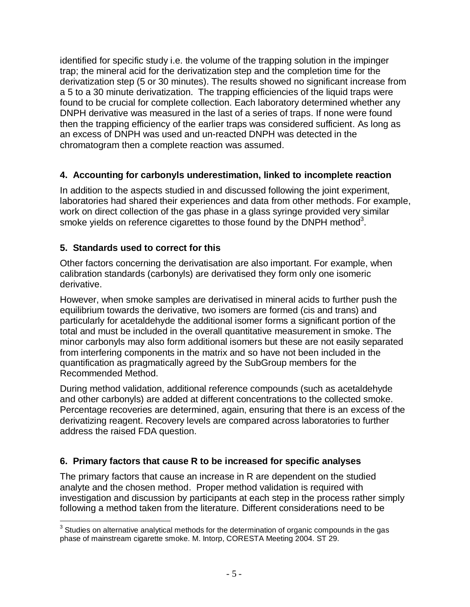identified for specific study i.e. the volume of the trapping solution in the impinger trap; the mineral acid for the derivatization step and the completion time for the derivatization step (5 or 30 minutes). The results showed no significant increase from a 5 to a 30 minute derivatization. The trapping efficiencies of the liquid traps were found to be crucial for complete collection. Each laboratory determined whether any DNPH derivative was measured in the last of a series of traps. If none were found then the trapping efficiency of the earlier traps was considered sufficient. As long as an excess of DNPH was used and un-reacted DNPH was detected in the chromatogram then a complete reaction was assumed.

## **4. Accounting for carbonyls underestimation, linked to incomplete reaction**

In addition to the aspects studied in and discussed following the joint experiment, laboratories had shared their experiences and data from other methods. For example, work on direct collection of the gas phase in a glass syringe provided very similar smoke yields on reference cigarettes to those found by the DNPH method<sup>3</sup>.

## **5. Standards used to correct for this**

Other factors concerning the derivatisation are also important. For example, when calibration standards (carbonyls) are derivatised they form only one isomeric derivative.

However, when smoke samples are derivatised in mineral acids to further push the equilibrium towards the derivative, two isomers are formed (cis and trans) and particularly for acetaldehyde the additional isomer forms a significant portion of the total and must be included in the overall quantitative measurement in smoke. The minor carbonyls may also form additional isomers but these are not easily separated from interfering components in the matrix and so have not been included in the quantification as pragmatically agreed by the SubGroup members for the Recommended Method.

During method validation, additional reference compounds (such as acetaldehyde and other carbonyls) are added at different concentrations to the collected smoke. Percentage recoveries are determined, again, ensuring that there is an excess of the derivatizing reagent. Recovery levels are compared across laboratories to further address the raised FDA question.

## **6. Primary factors that cause R to be increased for specific analyses**

The primary factors that cause an increase in R are dependent on the studied analyte and the chosen method. Proper method validation is required with investigation and discussion by participants at each step in the process rather simply following a method taken from the literature. Different considerations need to be

 $\overline{a}$  $3$  Studies on alternative analytical methods for the determination of organic compounds in the gas phase of mainstream cigarette smoke. M. Intorp, CORESTA Meeting 2004. ST 29.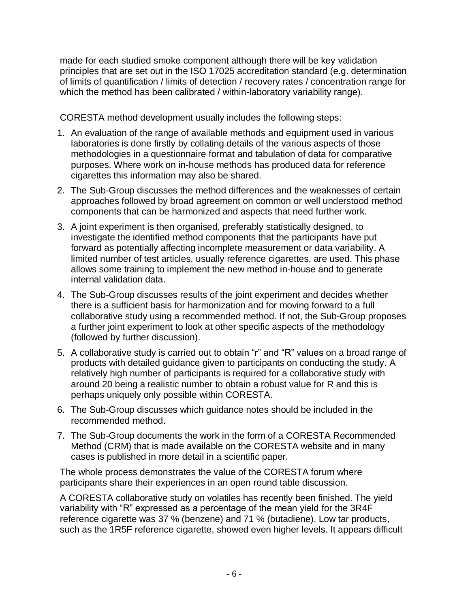made for each studied smoke component although there will be key validation principles that are set out in the ISO 17025 accreditation standard (e.g. determination of limits of quantification / limits of detection / recovery rates / concentration range for which the method has been calibrated / within-laboratory variability range).

CORESTA method development usually includes the following steps:

- 1. An evaluation of the range of available methods and equipment used in various laboratories is done firstly by collating details of the various aspects of those methodologies in a questionnaire format and tabulation of data for comparative purposes. Where work on in-house methods has produced data for reference cigarettes this information may also be shared.
- 2. The Sub-Group discusses the method differences and the weaknesses of certain approaches followed by broad agreement on common or well understood method components that can be harmonized and aspects that need further work.
- 3. A joint experiment is then organised, preferably statistically designed, to investigate the identified method components that the participants have put forward as potentially affecting incomplete measurement or data variability. A limited number of test articles, usually reference cigarettes, are used. This phase allows some training to implement the new method in-house and to generate internal validation data.
- 4. The Sub-Group discusses results of the joint experiment and decides whether there is a sufficient basis for harmonization and for moving forward to a full collaborative study using a recommended method. If not, the Sub-Group proposes a further joint experiment to look at other specific aspects of the methodology (followed by further discussion).
- 5. A collaborative study is carried out to obtain "r" and "R" values on a broad range of products with detailed guidance given to participants on conducting the study. A relatively high number of participants is required for a collaborative study with around 20 being a realistic number to obtain a robust value for R and this is perhaps uniquely only possible within CORESTA.
- 6. The Sub-Group discusses which guidance notes should be included in the recommended method.
- 7. The Sub-Group documents the work in the form of a CORESTA Recommended Method (CRM) that is made available on the CORESTA website and in many cases is published in more detail in a scientific paper.

The whole process demonstrates the value of the CORESTA forum where participants share their experiences in an open round table discussion.

A CORESTA collaborative study on volatiles has recently been finished. The yield variability with "R" expressed as a percentage of the mean yield for the 3R4F reference cigarette was 37 % (benzene) and 71 % (butadiene). Low tar products, such as the 1R5F reference cigarette, showed even higher levels. It appears difficult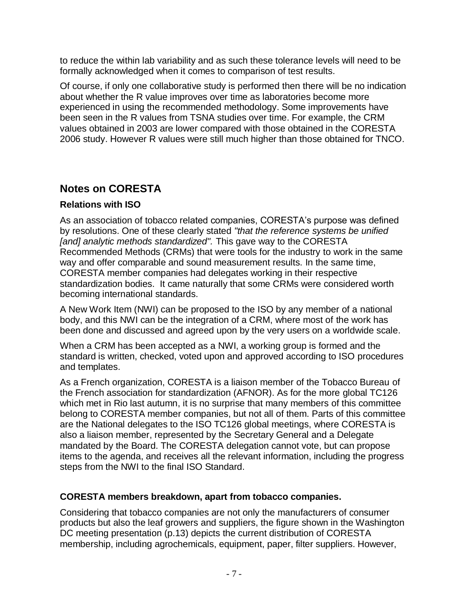to reduce the within lab variability and as such these tolerance levels will need to be formally acknowledged when it comes to comparison of test results.

Of course, if only one collaborative study is performed then there will be no indication about whether the R value improves over time as laboratories become more experienced in using the recommended methodology. Some improvements have been seen in the R values from TSNA studies over time. For example, the CRM values obtained in 2003 are lower compared with those obtained in the CORESTA 2006 study. However R values were still much higher than those obtained for TNCO.

# **Notes on CORESTA**

#### **Relations with ISO**

As an association of tobacco related companies, CORESTA's purpose was defined by resolutions. One of these clearly stated *"that the reference systems be unified [and] analytic methods standardized".* This gave way to the CORESTA Recommended Methods (CRMs) that were tools for the industry to work in the same way and offer comparable and sound measurement results. In the same time, CORESTA member companies had delegates working in their respective standardization bodies. It came naturally that some CRMs were considered worth becoming international standards.

A New Work Item (NWI) can be proposed to the ISO by any member of a national body, and this NWI can be the integration of a CRM, where most of the work has been done and discussed and agreed upon by the very users on a worldwide scale.

When a CRM has been accepted as a NWI, a working group is formed and the standard is written, checked, voted upon and approved according to ISO procedures and templates.

As a French organization, CORESTA is a liaison member of the Tobacco Bureau of the French association for standardization (AFNOR). As for the more global TC126 which met in Rio last autumn, it is no surprise that many members of this committee belong to CORESTA member companies, but not all of them. Parts of this committee are the National delegates to the ISO TC126 global meetings, where CORESTA is also a liaison member, represented by the Secretary General and a Delegate mandated by the Board. The CORESTA delegation cannot vote, but can propose items to the agenda, and receives all the relevant information, including the progress steps from the NWI to the final ISO Standard.

#### **CORESTA members breakdown, apart from tobacco companies.**

Considering that tobacco companies are not only the manufacturers of consumer products but also the leaf growers and suppliers, the figure shown in the Washington DC meeting presentation (p.13) depicts the current distribution of CORESTA membership, including agrochemicals, equipment, paper, filter suppliers. However,